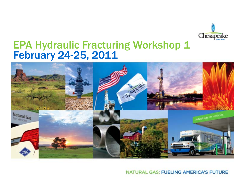

## EPA Hydraulic Fracturing Workshop 1 February 24-25, 2011



NATURAL GAS: FUELING AMERICA'S FUTURE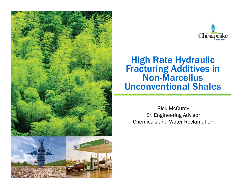



### High Rate Hydraulic Fracturing Additives in Non -Marcellus Unconventional Shales

Rick McCurdy Sr. Engineering Advisor Chemicals and Water Reclamation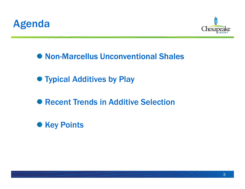



**<sup>●</sup> Non-Marcellus Unconventional Shales** 

- **See Typical Additives by Play**
- Recent Trends in Additive Selection
- **Key Points**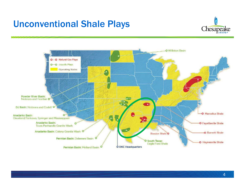## Unconventional Shale Plays

,,,,,,,



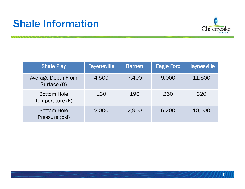# Shale Information



| <b>Shale Play</b>                     | <b>Fayetteville</b> | <b>Barnett</b> | <b>Eagle Ford</b> | <b>Haynesville</b> |
|---------------------------------------|---------------------|----------------|-------------------|--------------------|
| Average Depth From<br>Surface (ft)    | 4,500               | 7,400          | 9,000             | 11,500             |
| <b>Bottom Hole</b><br>Temperature (F) | 130                 | 190            | 260               | 320                |
| <b>Bottom Hole</b><br>Pressure (psi)  | 2,000               | 2,900          | 6,200             | 10,000             |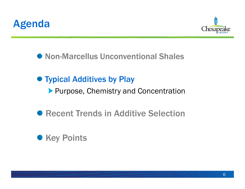



**<sup>●</sup> Non-Marcellus Unconventional Shales** 

### **Typical Additives by Play**

**Purpose, Chemistry and Concentration** 

**<sup>●</sup> Recent Trends in Additive Selection** 

## **Key Points**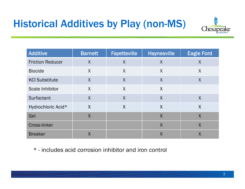# Historical Additives by Play (non-MS)



| <b>Additive</b>         | <b>Barnett</b> | <b>Fayetteville</b>       | <b>Haynesville</b>        | <b>Eagle Ford</b> |
|-------------------------|----------------|---------------------------|---------------------------|-------------------|
| <b>Friction Reducer</b> | $\sf X$        | $\sf X$                   | $\sf X$                   | $\sf X$           |
| <b>Biocide</b>          | $\sf X$        | $\sf X$                   | X                         | $\sf X$           |
| <b>KCI Substitute</b>   | $\sf X$        | $\sf X$                   | $\sf X$                   | $\sf X$           |
| <b>Scale Inhibitor</b>  | $\sf X$        | $\sf X$                   | X                         |                   |
| Surfactant              | $\sf X$        | $\sf X$                   | $\sf X$                   | $\sf X$           |
| Hydrochloric Acid*      | $\sf X$        | $\boldsymbol{\mathsf{X}}$ | $\boldsymbol{\mathsf{X}}$ | $\sf X$           |
| Gel                     | $\sf X$        |                           | $\sf X$                   | $\sf X$           |
| <b>Cross-linker</b>     |                |                           | $\sf X$                   | $\sf X$           |
| <b>Breaker</b>          | Χ              |                           | Χ                         | Χ                 |

\* - includes acid corrosion inhibitor and iron control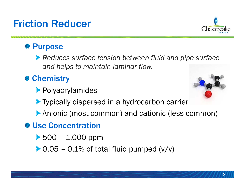# Friction Reducer

### **<sup>●</sup> Purpose**

*Reduces surface tension between fluid and pipe surface and helps to maintain laminar flow.* 

## **● Chemistry**

- Polyacrylamides
- **Typically dispersed in a hydrocarbon carrier**
- Anionic (most common) and cationic (less common)
- **<sup>●</sup> Use Concentration** 
	- $\blacktriangleright$  500 1,000 ppm
	- $\triangleright$  0.05 0.1% of total fluid pumped (v/v)



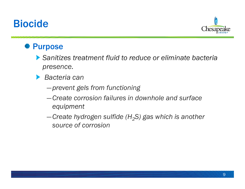## Biocide



### **<sup>●</sup>** Purpose

- *Sanitizes treatment fluid to reduce or eliminate bacteria presence.*
- *Bacteria can* 
	- ―*prevent gels from functioning*
	- ―*Create corrosion failures in downhole and surface equipment*
	- ―*Create hydrogen sulfide (H2S) gas which is another source of corrosion*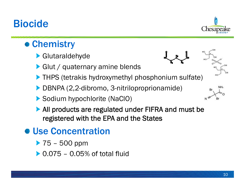# Biocide



## ● Chemistry

- Glutaraldehyde
- Glut / quaternary amine blends
- **THPS (tetrakis hydroxymethyl phosphonium sulfate)**
- ▶ DBNPA (2,2-dibromo, 3-nitriloproprionamide)
- ▶ Sodium hypochlorite (NaClO)
- ▶ All products are regulated under FIFRA and must be registered with the EPA and the States

# **● Use Concentration**

- ▶ 75 500 ppm
- 0.075 0.05% of total fluid







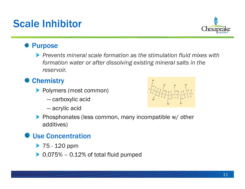# Scale Inhibitor

### Purpose

*Prevents mineral scale formation as the stimulation fluid mixes with formation water or after dissolving existing mineral salts in the reservoir.*

### **Chemistry**

- **Polymers (most common)** 
	- ― carboxylic acid
	- acrylic acid

**Phosphonates (less common, many incompatible w/ other** additives)

### Use Concentration

- 75 120 ppm
- 0.075% 0.12% of total fluid pumped



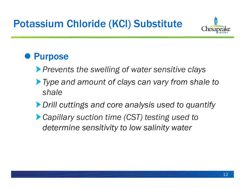

## **<sup>•</sup>** Purpose

- *Prevents the swelling of water sensitive clays*
- *Type and amount of clays can vary from shale to shale*
- *Drill cuttings and core analysis used to quantify*
- *Capillary suction time (CST) testing used to determine sensitivity to low salinity water*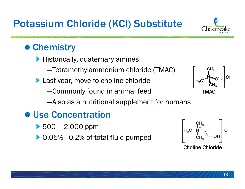

## **● Chemistry**

- $\blacktriangleright$  Historically, quaternary amines
	- ―Tetramethylammonium chloride (TMAC)
- **Last year, move to choline chloride** 
	- ―Commonly found in animal feed



―Also as a nutritional supplement for humans

## **● Use Concentration**

- 500 2,000 ppm
- ▶ 0.05% 0.2% of total fluid pumped



Choline Chloride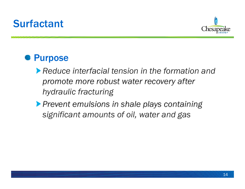# **Surfactant**



## **<sup>●</sup> Purpose**

- *Reduce interfacial tension in the formation and promote more robust water recovery after hydraulic fracturing*
- *Prevent emulsions in shale plays containing significant amounts of oil, water and gas*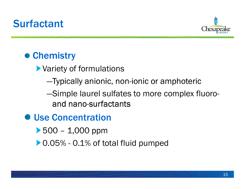# **Surfactant**



## **● Chemistry**

- Variety of formulations
	- -Typically anionic, non-ionic or amphoteric
	- ―Simple laurel sulfates to more complex fluoroand nano-surfactants
- **Use Concentration** 
	- $\blacktriangleright$  500 1,000 ppm
	- ▶ 0.05% 0.1% of total fluid pumped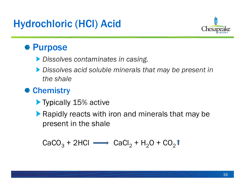# Hydrochloric (HCl) Acid



## **● Purpose**

- *Dissolves contaminates in casing.*
- *Dissolves acid soluble minerals that may be present in the shale*

## **<sup>●</sup> Chemistry**

- Typically 15% active
- **Rapidly reacts with iron and minerals that may be** present in the shale

 $\text{CaCO}_3 + 2\text{HCl} \implies \text{CaCl}_2 + \text{H}_2\text{O} + \text{CO}_2$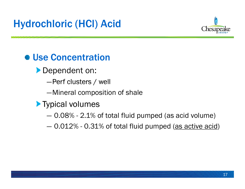

## **We Concentration**

- **Dependent on:** 
	- ―Perf clusters / well
	- ―Mineral composition of shale
- **Typical volumes** 
	- $-$  0.08% 2.1% of total fluid pumped (as acid volume)
	- 0.012% 0.31% of total fluid pumped (<u>as active acid</u>)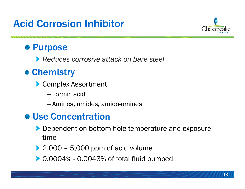# Acid Corrosion Inhibitor



## **● Purpose**

*Reduces corrosive attack on bare steel* 

## ● Chemistry

- Complex Assortment
	- ―Formic acid
	- Amines, amides, amido-amines

## ● Use Concentration

- Dependent on bottom hole temperature and exposure time
- $\geq$  2,000 5,000 ppm of acid volume
- ▶ 0.0004% 0.0043% of total fluid pumped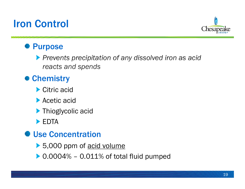# Iron Control



### **<sup>●</sup>** Purpose

*Prevents precipitation of any dissolved iron as acid reacts and spends*

### **● Chemistry**

- ▶ Citric acid
- ▶ Acetic acid
- **Thioglycolic acid**
- **EDTA**

### **<sup>●</sup> Use Concentration**

- ▶ 5,000 ppm of acid volume
- $0.0004\%$   $0.011\%$  of total fluid pumped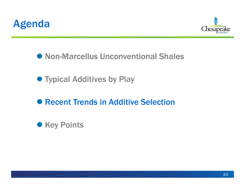



**<sup>●</sup> Non-Marcellus Unconventional Shales** 

● Typical Additives by Play

### Recent Trends in Additive Selection

**Key Points**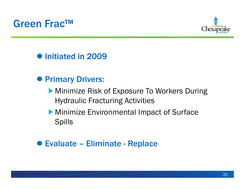



**<sup>●</sup>Initiated in 2009** 

- **Primary Drivers:** 
	- **Minimize Risk of Exposure To Workers During** Hydraulic Fracturing Activities
	- **Minimize Environmental Impact of Surface** Spills

### **<sup>●</sup> Evaluate – Eliminate - Replace**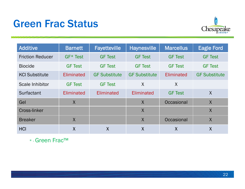# Green Frac Status



| <b>Additive</b>         | <b>Barnett</b> | <b>Fayetteville</b>  | <b>Haynesville</b>   | <b>Marcellus</b> | <b>Eagle Ford</b>    |
|-------------------------|----------------|----------------------|----------------------|------------------|----------------------|
| <b>Friction Reducer</b> | $GF*Test$      | <b>GF Test</b>       | <b>GF Test</b>       | <b>GF Test</b>   | <b>GF Test</b>       |
| <b>Biocide</b>          | <b>GF Test</b> | <b>GF Test</b>       | <b>GF Test</b>       | <b>GF Test</b>   | <b>GF Test</b>       |
| <b>KCI Substitute</b>   | Eliminated     | <b>GF Substitute</b> | <b>GF Substitute</b> | Eliminated       | <b>GF Substitute</b> |
| Scale Inhibitor         | <b>GF Test</b> | <b>GF Test</b>       | $\sf X$              | $\sf X$          |                      |
| Surfactant              | Eliminated     | Eliminated           | Eliminated           | <b>GF Test</b>   | $\sf X$              |
| Gel                     | $\sf X$        |                      | $\sf X$              | Occasional       | $\sf X$              |
| Cross-linker            |                |                      | $\sf X$              |                  | $\sf X$              |
| <b>Breaker</b>          | $\sf X$        |                      | $\sf X$              | Occasional       | $\sf X$              |
| <b>HCI</b>              | $\sf X$        | $\sf X$              | $\sf X$              | $\sf X$          | $\sf X$              |

\* - Green Frac™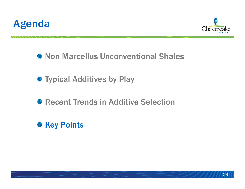



**<sup>●</sup> Non-Marcellus Unconventional Shales** 

**See Typical Additives by Play** 

**<sup>●</sup> Recent Trends in Additive Selection** 

**Key Points**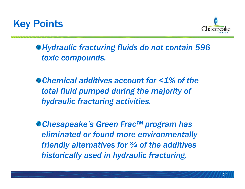



*Hydraulic fracturing fluids do not contain 596 toxic compounds.*

*Chemical additives account for <1% of the total fluid pumped during the majority of hydraulic fracturing activities.*

*Chesapeake's Green Frac™ program has eliminated or found more environmentally friendly alternatives for ¾ of the additives historically used in hydraulic fracturing .*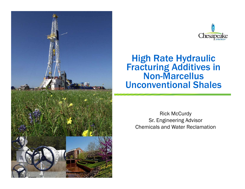



### High Rate Hydraulic Fracturing Additives in Non-Marcellus Unconventional Shales

Rick McCurdy Sr. Engineering Advisor Chemicals and Water Reclamation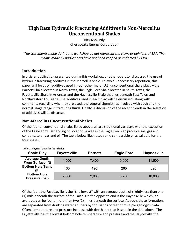#### **High Rate Hydraulic Fracturing Additives in NonMarcellus Unconventional Shales**

Rick McCurdy Chesapeake Energy Corporation

*The statements made during the workshop do not represent the views or opinions of EPA. The claims made by participants have not been verified or endorsed by EPA.*

#### **Introduction**

In a sister publication presented during this workshop, another operator discussed the use of hydraulic fracturing additives in the Marcellus Shale. To avoid unnecessary repetition, this paper will focus on additives used in four other major U.S. unconventional shale plays – the Barnett Shale located in North Texas, the Eagle Ford Shale located in South Texas, the Fayetteville Shale in Arkansas and the Haynesville Shale that lies beneath East Texas and Northwestern Louisiana. The additives used in each play will be discussed, along with comments regarding why they are used, the general chemistries involved with each and the normal usage range in fracturing fluids. Finally, a discussion of the recent trends in the selection of additives will be discussed.

#### **NonMarcellus Unconventional Shales**

Of the four unconventional shales listed above, all are traditional gas plays with the exception of the Eagle Ford. Depending on location, a well in the Eagle Ford can produce gas, gas and condensate or gas and oil. The table below illustrates some comparable physical data for the four shales.

| <b>Shale Play</b>                         | <b>Fayetteville</b> | <b>Barnett</b> | <b>Eagle Ford</b> | <b>Haynesville</b> |
|-------------------------------------------|---------------------|----------------|-------------------|--------------------|
| <b>Average Depth</b><br>From Surface (ft) | 4,500               | 7,400          | 9,000             | 11,500             |
| <b>Bottom Hole Temp</b>                   | 130                 | 190            | 260               | 320                |
| <b>Bottom Hole</b><br>Pressure (psi)      | 2,000               | 2,900          | 6,200             | 10,000             |

**Table 1. Physical data for four shales**

Of the four, the Fayetteville is the "shallowest" with an average depth of slightly less than one (1) mile beneath the surface of the Earth. On the opposite end is the Haynesville which, on average, can be found more than two (2) miles beneath the surface. As such, these formations are separated from drinking water aquifers by thousands of feet of multiple geologic strata. Often, temperature and pressure increase with depth and that is seen in the data above. The Fayetteville has the lowest bottom hole temperature and pressure and the Haynesville the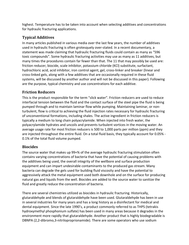highest. Temperature has to be taken into account when selecting additives and concentrations for hydraulic fracturing applications.

#### **Typical Additives**

In many articles published in various media over the last few years, the number of additives used in hydraulic fracturing is often grotesquely over‐stated. In a recent documentary, a statement was made claiming that hydraulic fracturing fluids could contain as many as "596 toxic compounds". Some hydraulic fracturing activities may use as many as 11 additives, but many times the procedures contain far fewer than that. The 11 that may possibly be used are: friction reducer, biocide, scale inhibitor, potassium chloride (KCl) substitute, surfactant, hydrochloric acid, acid inhibitor, iron control agent, gel, cross-linker and breaker (linear and cross‐linked gels, along with a few additives that are occasionally required in these fluid systems, will be discussed by another author and will not be discussed in this paper). Following are the purpose, typical chemistry and use concentrations for each additive.

#### **Friction Reducers**

This is the product responsible for the term "slick water". Friction reducers are used to reduce interfacial tension between the fluid and the contact surface of the steel pipe the fluid is being pumped through and to maintain laminar flow while pumping. Maintaining laminar, or non‐ turbulent, flow is critical to achieving the fluid injection rates necessary for hydraulic fracturing of unconventional formations, including shales. The active ingredient in friction reducers is typically a medium to long chain polyacrylamide. When injected into fresh water, the polyacrylamide hydrates and uncoils and prevents turbulent vortices in the moving water. An average usage rate for most friction reducers is 500 to 1,000 parts per million (ppm) and they are injected throughout the entire fluid. On a total fluid basis, they typically account for 0.05% ‐ 0.1% of the total fluid volume pumped.

#### **Biocides**

The source water that makes up 99+% of the average hydraulic fracturing stimulation often contains varying concentrations of bacteria that have the potential of causing problems with the additives being used, the overall integrity of the wellbore and surface production equipment and can impart undesirable contaminants to the produced gas stream. Many bacteria can degrade the gels used for building fluid viscosity and have the potential to aggressively attack the metal equipment used both downhole and on the surface for producing natural gas and liquids from the well. Biocides are added to the source water to sanitize the fluid and greatly reduce the concentration of bacteria.

There are several chemistries utilized as biocides in hydraulic fracturing. Historically, glutaraldehyde and blends of glutaraldehyde have been used. Glutaraldehyde has been in use in several industries for many years and has a long history as a disinfectant for medical and dental equipment. Since the late 1990's, a product commonly referred to as THPS (tetrakis hydroxymethyl phosphonium sulfate) has been used in many areas because it degrades in the environment more rapidly that glutaraldehyde. Another product that is highly biodegradable is DBNPA (2,2‐dibromo,3‐nitriloproprionamide). There are some operators who use sodium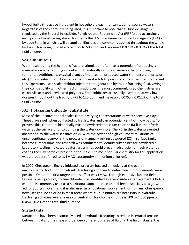hypochlorite (the active ingredient in household bleach) for sanitation of source waters. Regardless of the chemistry being used, it is important to note that all biocide usage is regulated by the Federal Insecticide, Fungicide and Rodenticide Act (FIFRA) and accordingly, each product must be registered for use by the U.S. Environmental Protection Agency (EPA) and by each State in which it will be applied. Biocides are commonly applied throughout the whole hydraulic fracturing fluid at a rate of 75 to 500 ppm and represent 0.075% ‐ 0.05% of the total fluid volume.

#### **Scale Inhibitors**

Water used during the hydraulic fracture stimulation often has a potential of producing a mineral scale when coming in contact with naturally occurring water in the producing formation. Additionally, physical changes imparted on produced water (temperature, pressure, etc.) during initial production can cause mineral solids to precipitate from the fluid. To prevent this, Operators use a scale inhibitor injected throughout the hydraulic fracturing fluid. Owing to their compatibility with other fracturing additives, the most commonly used chemistries are carboxylic acid and acrylic acid polymers. Scale inhibitors are usually used at relatively low dosages throughout the frac fluid (75 to 120 ppm) and make up 0.0075% ‐ 0.012% of the total fluid volume.

#### **KCl (Potassium Chloride) Substitute**

Most of the unconventional shales contain varying concentrations of water sensitive clays. These clays swell when contacted by fresh water and can potentially shut off flow paths. To prevent this, Operators historically mixed powdered potassium chloride (KCl) in their fresh water at the surface prior to pumping the water downhole. The KCl in the water prevented absorption by the water sensitive clays. With the advent of high volume stimulations of unconventional reservoirs, the process of manually mixing powdered KCl in surface tanks became cumbersome and research was conducted to identify substitutes for powdered KCl. Laboratory testing indicated quaternary amines could prevent adsorption of fresh water by coating the clay particles present in the shale. The most popular chemistry for this application was a product referred to as TMAC (tetramethylammonium chloride).

In 2009, Chesapeake Energy initiated a program focused on looking at the overall environmental footprint of hydraulic fracturing additives to determine if improvements were possible. One of the first targets of this effort was TMAC. Through extensive lab and field testing, a new product, choline chloride, was identified as a very suitable replacement. Choline chloride is commonly used as a nutritional supplement in animal feed, especially as a growth aid for young chickens and it is also used as a nutritional supplement for humans. Chesapeake now uses choline chloride in most areas where KCl substitutes are necessary in hydraulic fracturing activities. Average use concentration for choline chloride is 500 to 2,000 ppm or 0.05% ‐ 0.2% of the total fluid pumped.

#### **Surfactants**

Surfactants have been historically used in hydraulic fracturing to reduce interfacial tension between fluid and the shale and between different phases of fluid. In the first instance, the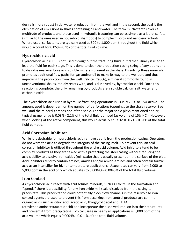desire is more robust initial water production from the well and in the second, the goal is the elimination of emulsions in shales containing oil and water. The term "surfactant" covers a multitude of products and those used in hydraulic fracturing can be as simple as a laurel sulfate (similar to the ones used in household shampoos) to complex fluoro‐ and nano‐surfactants. Where used, surfactants are typically used at 500 to 1,000 ppm throughout the fluid which would account for 0.05% ‐ 0.1% of the total fluid volume.

#### **Hydrochloric acid**

Hydrochloric acid (HCl) is not used throughout the fracturing fluid, but rather usually is used to lead the fluid for each stage. This is done to clear the production casing string of any debris and to dissolve near‐wellbore acid soluble minerals present in the shale. Dissolving these minerals promotes additional flow paths for gas and/or oil to make its way to the wellbore and thus improving the production from the well. Calcite (CaCO<sub>3</sub>), a mineral commonly found in unconventional shales, rapidly reacts with, and is dissolved by, hydrochloric acid. Once this reaction is complete, the only remaining by-products are a soluble calcium salt, water and carbon dioxide.

The hydrochloric acid used in hydraulic fracturing operations is usually 7.5% or 15% active. The amount used is dependent on the number of perforations (openings to the shale reservoir) per well and the mineral composition of the shale. For the major shale plays mentioned earlier, typical usage range is 0.08% ‐ 2.1% of the total fluid pumped (as volume of 15% HCl). However, when looking at the active component, this would actually equal to 0.012% - 0.31% of the total fluid pumped.

#### **Acid Corrosion Inhibitor**

While it is desirable for hydrochloric acid remove debris from the production casing, Operators do not want the acid to degrade the integrity of the casing itself. To prevent this, an acid corrosion inhibitor is utilized throughout the entire acid volume. Acid inhibitors tend to be complex products as they are tasked with a protecting the steel casing without reducing the acid's ability to dissolve iron oxides (mill scale) that is usually present on the surface of the pipe. Acid inhibitors tend to contain amines, amides and/or amido‐amines and often contain formic acid as an intensifier for higher temperature applications. Usage rates can vary from 2,000 to 5,000 ppm in the acid only which equates to 0.0004% ‐ 0.0043% of the total fluid volume.

#### **Iron Control**

As hydrochloric acid reacts with acid soluble minerals, such as calcite, in the formation and "spends" there is a possibility for any iron oxide mill scale dissolved from the casing to precipitate. This precipitation could potentially block flow channels in the reservoir so iron control agents are used to prevent this from occurring. Iron control products are common organic acids such as citric acid, acetic acid, thioglycolic acid and EDTA (ethylenediaminetetraacetic acid) and incorporate the dissolved iron ion into their structures and prevent it from precipitating. Typical usage in nearly all applications is 5,000 ppm of the acid volume which equals 0.0004% ‐ 0.011% of the total fluid volume.